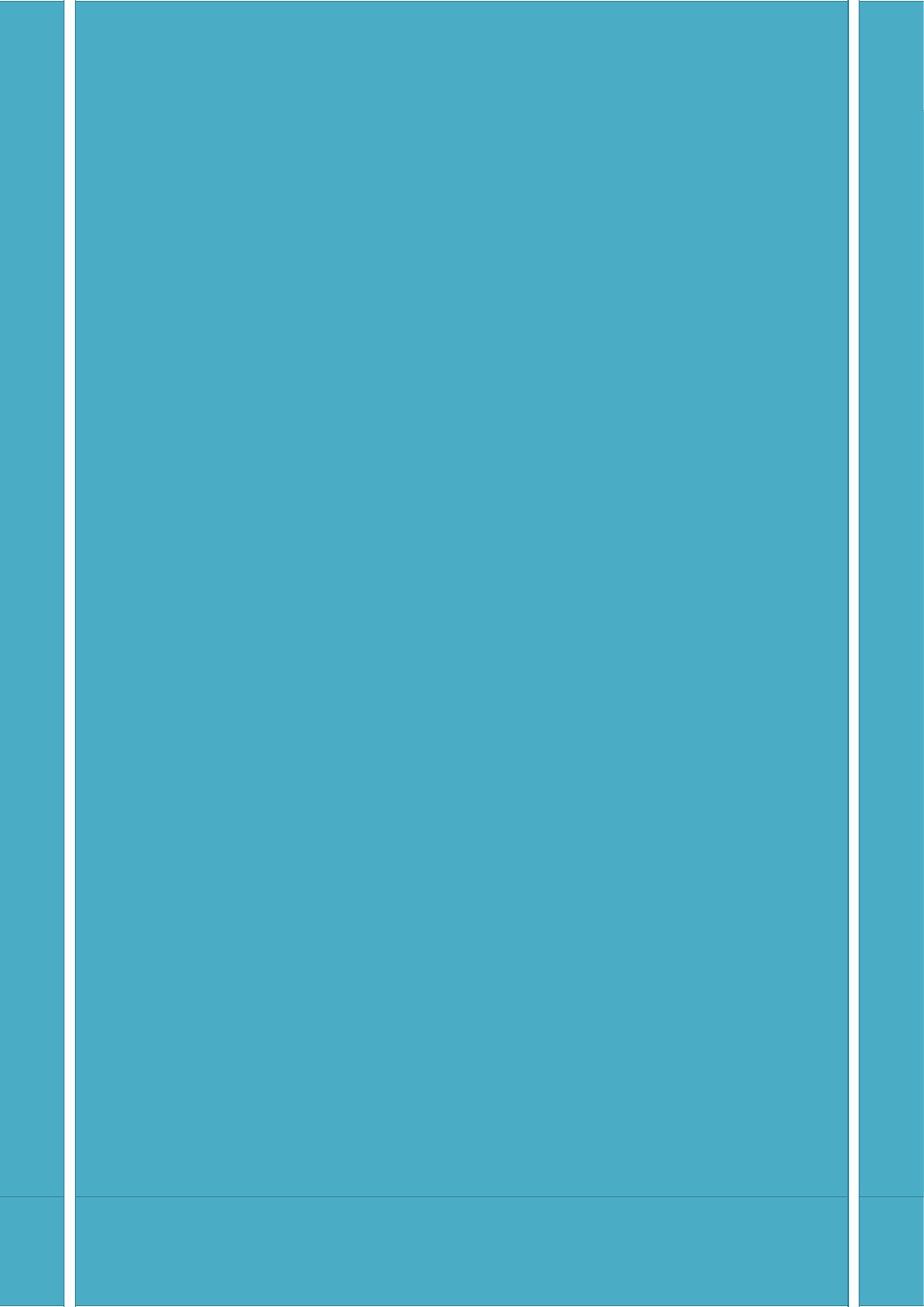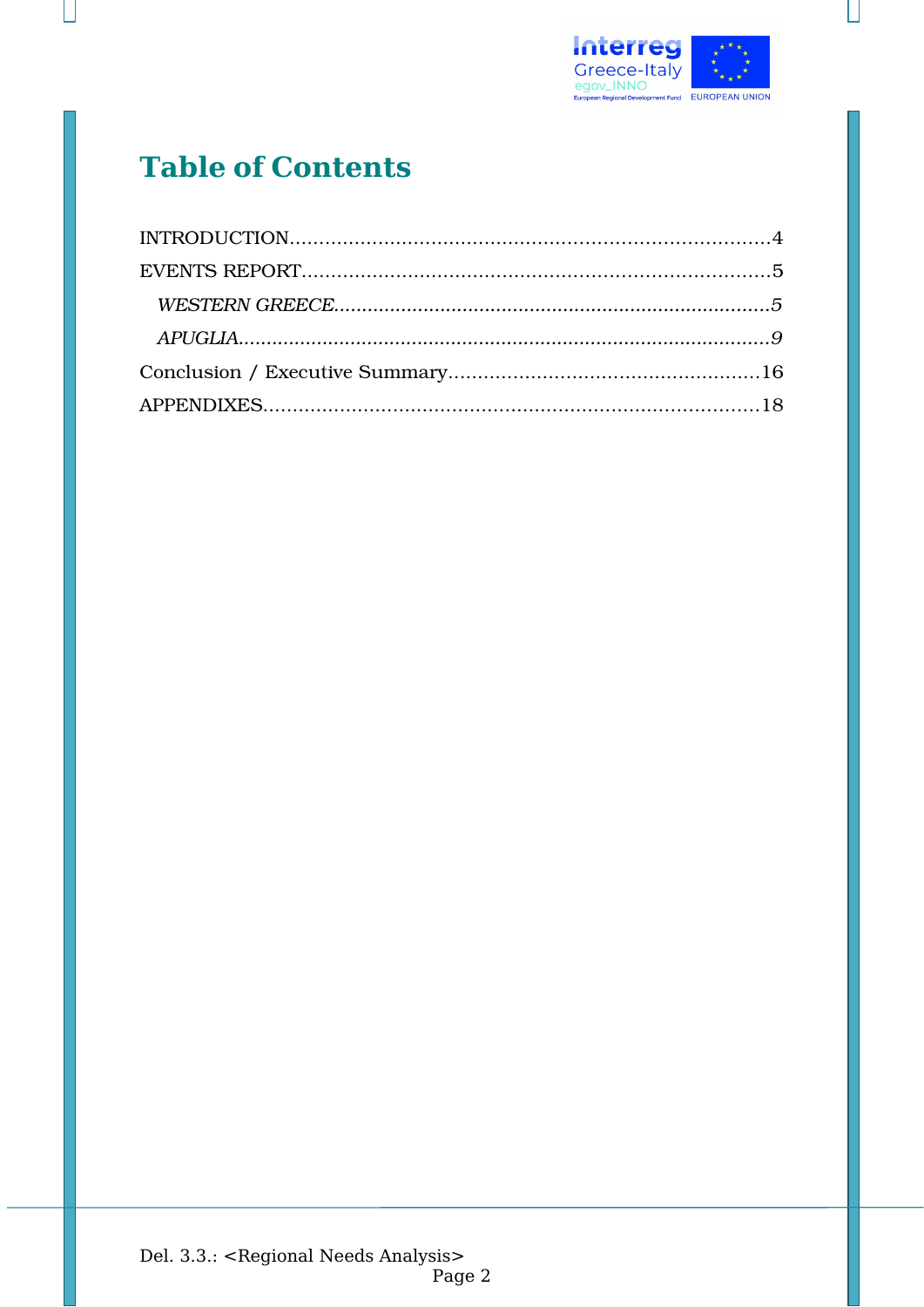

# **Table of Contents**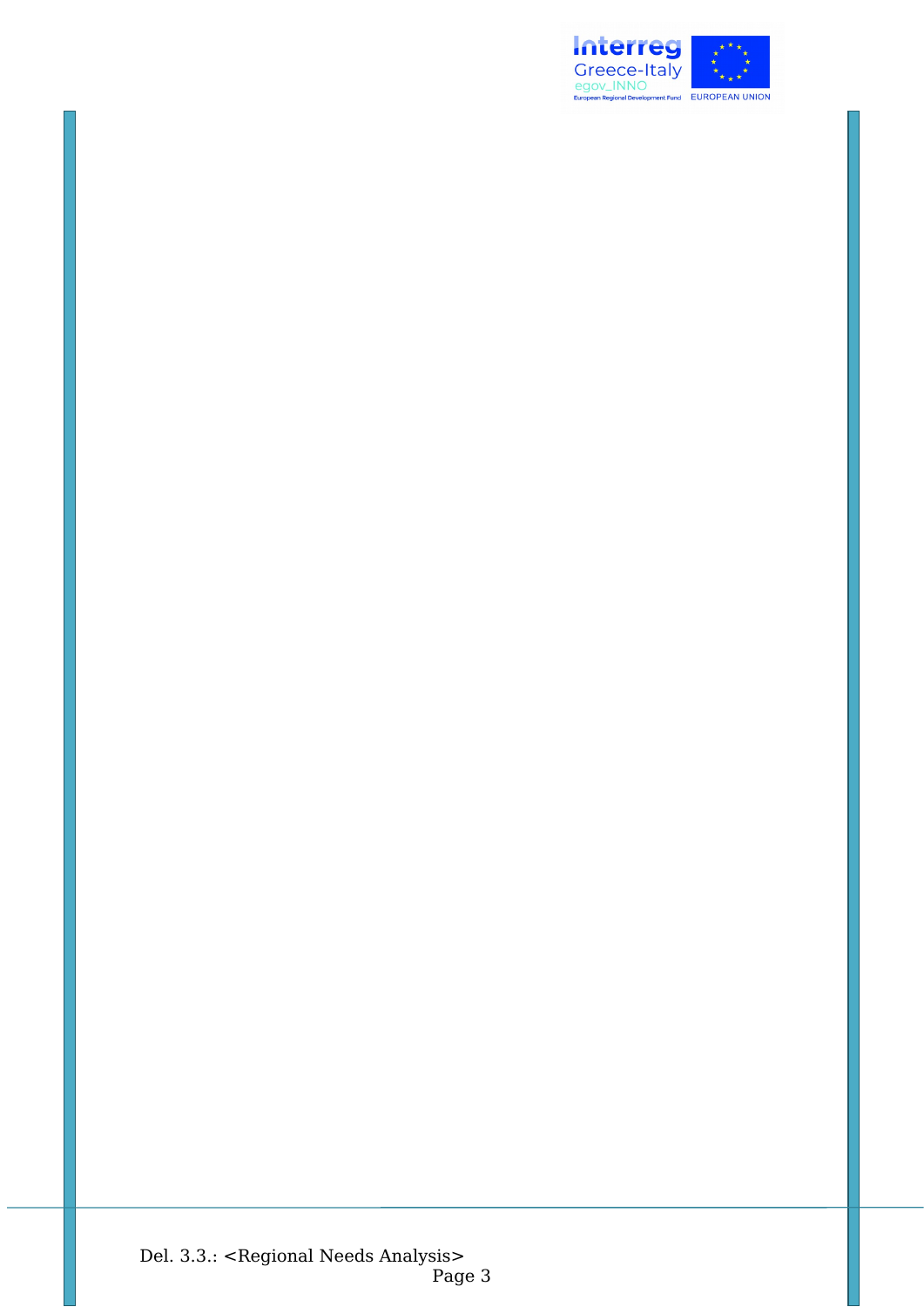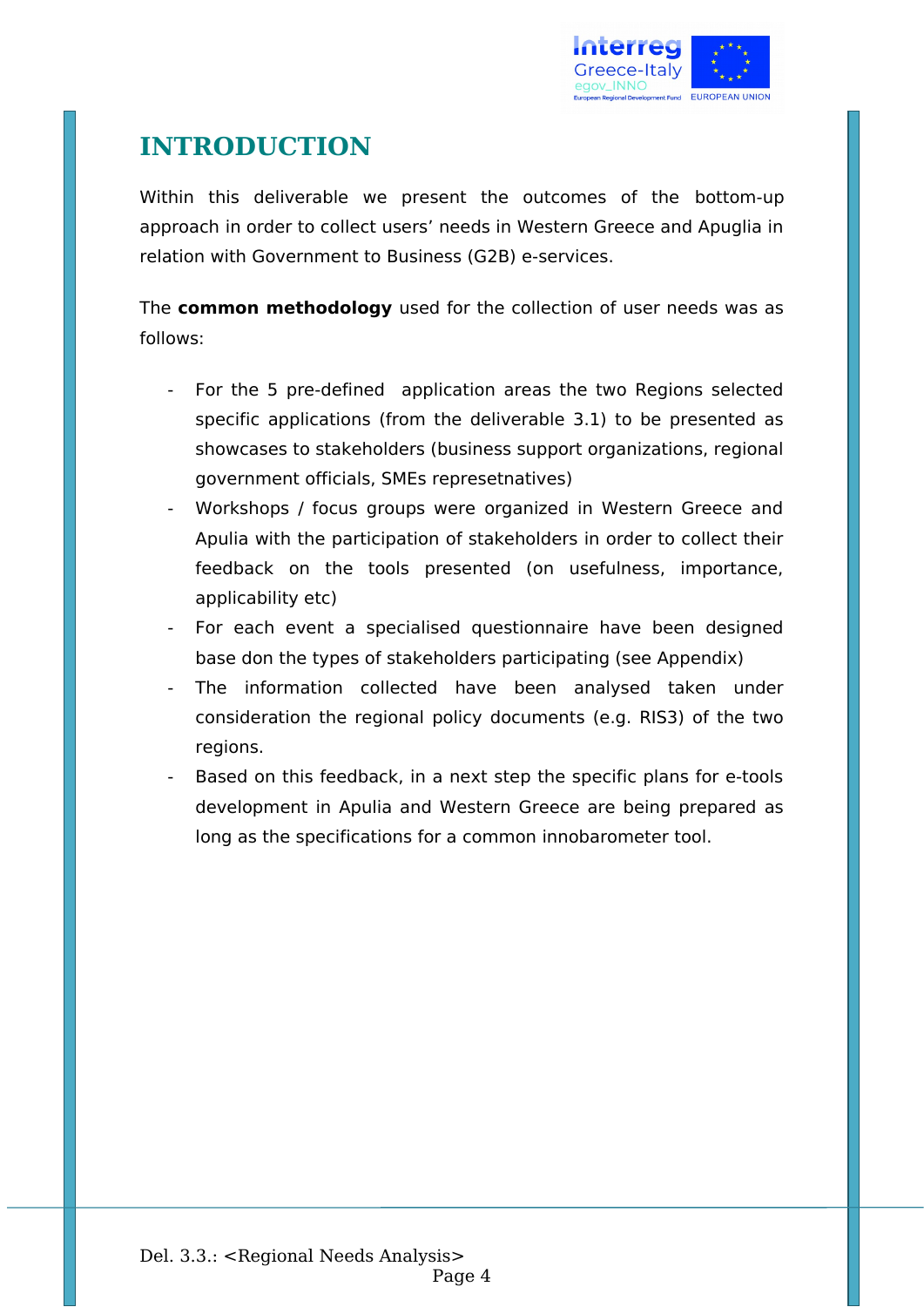

# <span id="page-3-0"></span>**INTRODUCTION**

Within this deliverable we present the outcomes of the bottom-up approach in order to collect users' needs in Western Greece and Apuglia in relation with Government to Business (G2B) e-services.

The **common methodology** used for the collection of user needs was as follows:

- For the 5 pre-defined application areas the two Regions selected specific applications (from the deliverable 3.1) to be presented as showcases to stakeholders (business support organizations, regional government officials, SMEs represetnatives)
- Workshops / focus groups were organized in Western Greece and Apulia with the participation of stakeholders in order to collect their feedback on the tools presented (on usefulness, importance, applicability etc)
- For each event a specialised questionnaire have been designed base don the types of stakeholders participating (see Appendix)
- The information collected have been analysed taken under consideration the regional policy documents (e.g. RIS3) of the two regions.
- Based on this feedback, in a next step the specific plans for e-tools development in Apulia and Western Greece are being prepared as long as the specifications for a common innobarometer tool.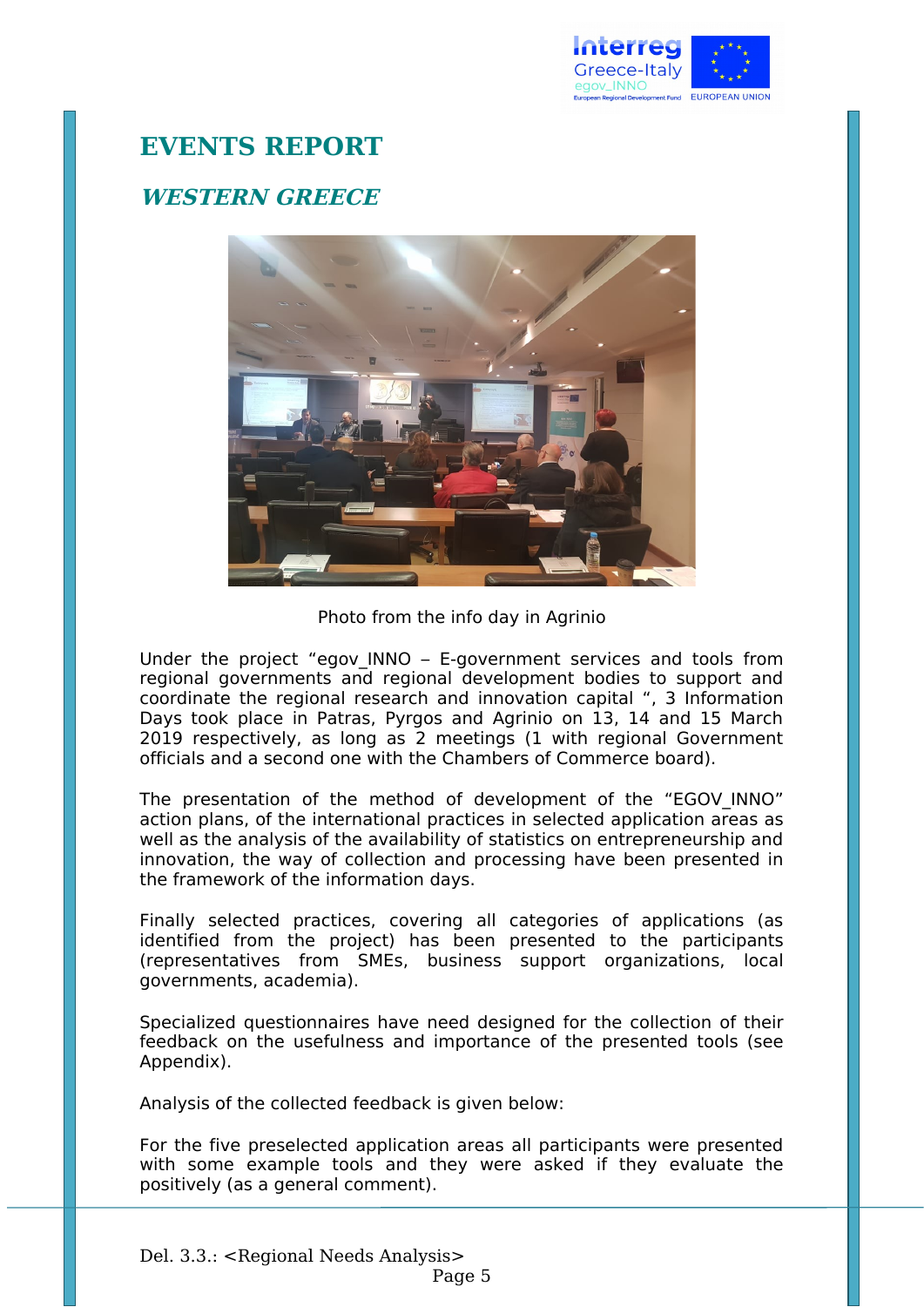

# <span id="page-4-1"></span>**EVENTS REPORT**

# <span id="page-4-0"></span>**WESTERN GREECE**



Photo from the info day in Agrinio

Under the project "egov\_INNO – E-government services and tools from regional governments and regional development bodies to support and coordinate the regional research and innovation capital ", 3 Information Days took place in Patras, Pyrgos and Agrinio on 13, 14 and 15 March 2019 respectively, as long as 2 meetings (1 with regional Government officials and a second one with the Chambers of Commerce board).

The presentation of the method of development of the "EGOV\_INNO" action plans, of the international practices in selected application areas as well as the analysis of the availability of statistics on entrepreneurship and innovation, the way of collection and processing have been presented in the framework of the information days.

Finally selected practices, covering all categories of applications (as identified from the project) has been presented to the participants (representatives from SMEs, business support organizations, local governments, academia).

Specialized questionnaires have need designed for the collection of their feedback on the usefulness and importance of the presented tools (see Appendix).

Analysis of the collected feedback is given below:

For the five preselected application areas all participants were presented with some example tools and they were asked if they evaluate the positively (as a general comment).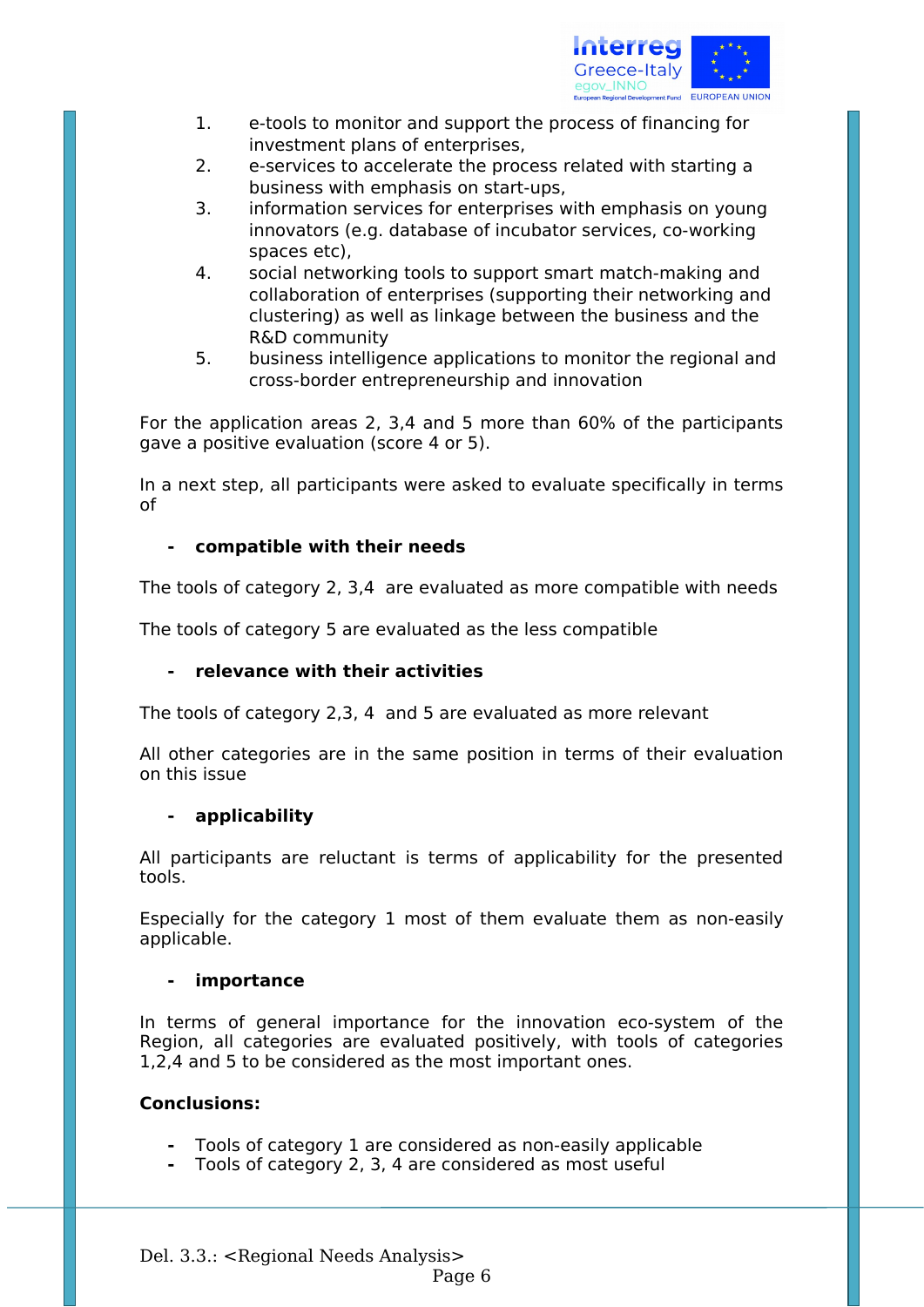

- 1. e-tools to monitor and support the process of financing for investment plans of enterprises,
- 2. e-services to accelerate the process related with starting a business with emphasis on start-ups,
- 3. information services for enterprises with emphasis on young innovators (e.g. database of incubator services, co-working spaces etc),
- 4. social networking tools to support smart match-making and collaboration of enterprises (supporting their networking and clustering) as well as linkage between the business and the R&D community
- 5. business intelligence applications to monitor the regional and cross-border entrepreneurship and innovation

For the application areas 2, 3,4 and 5 more than 60% of the participants gave a positive evaluation (score 4 or 5).

In a next step, all participants were asked to evaluate specifically in terms of

## **- compatible with their needs**

The tools of category 2, 3,4 are evaluated as more compatible with needs

The tools of category 5 are evaluated as the less compatible

# **- relevance with their activities**

The tools of category 2,3, 4 and 5 are evaluated as more relevant

All other categories are in the same position in terms of their evaluation on this issue

## **- applicability**

All participants are reluctant is terms of applicability for the presented tools.

Especially for the category 1 most of them evaluate them as non-easily applicable.

## **- importance**

In terms of general importance for the innovation eco-system of the Region, all categories are evaluated positively, with tools of categories 1,2,4 and 5 to be considered as the most important ones.

## **Conclusions:**

- **-** Tools of category 1 are considered as non-easily applicable
- **-** Tools of category 2, 3, 4 are considered as most useful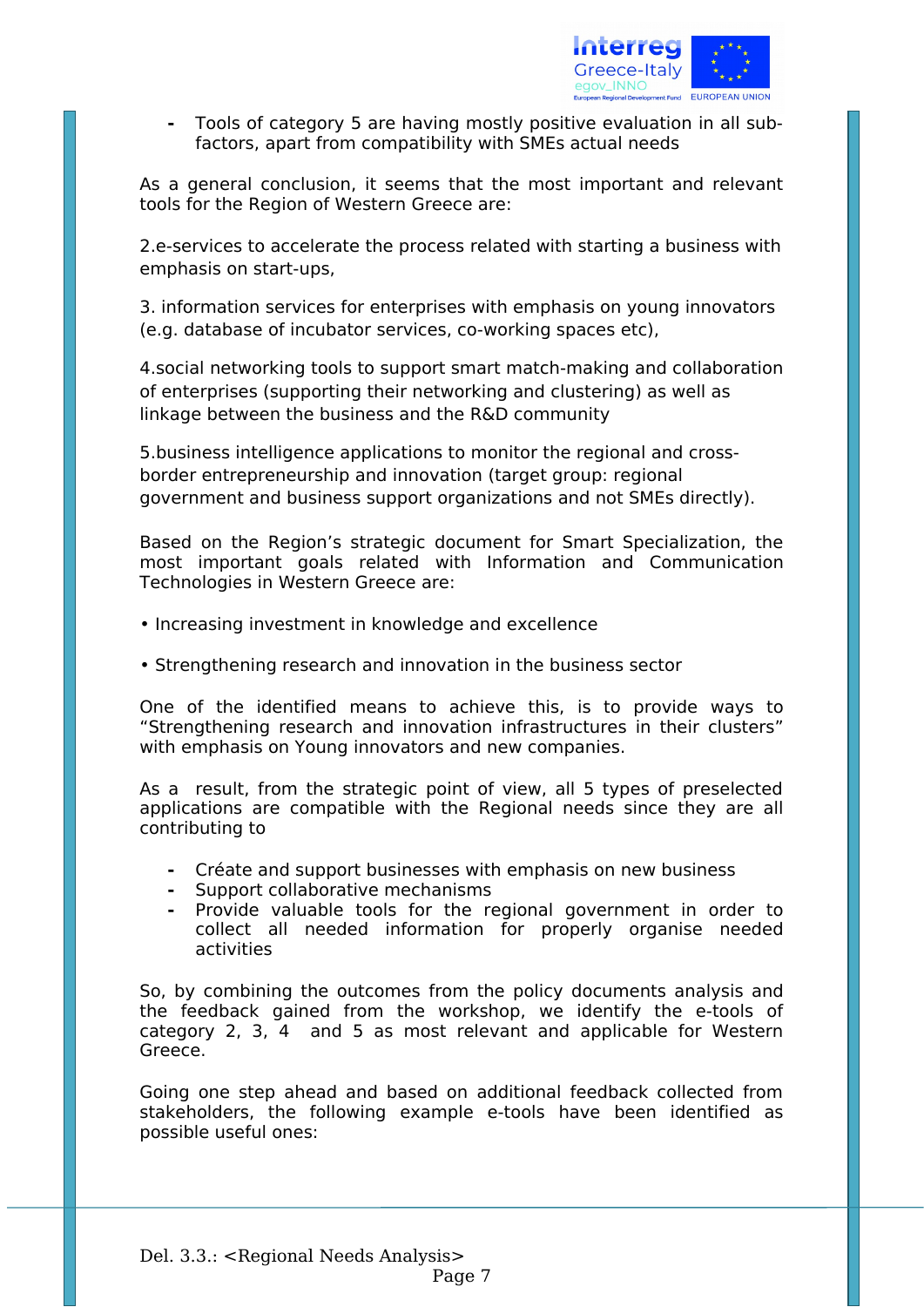

**-** Tools of category 5 are having mostly positive evaluation in all subfactors, apart from compatibility with SMEs actual needs

As a general conclusion, it seems that the most important and relevant tools for the Region of Western Greece are:

2.e-services to accelerate the process related with starting a business with emphasis on start-ups,

3. information services for enterprises with emphasis on young innovators (e.g. database of incubator services, co-working spaces etc),

4.social networking tools to support smart match-making and collaboration of enterprises (supporting their networking and clustering) as well as linkage between the business and the R&D community

5.business intelligence applications to monitor the regional and crossborder entrepreneurship and innovation (target group: regional government and business support organizations and not SMEs directly).

Based on the Region's strategic document for Smart Specialization, the most important goals related with Information and Communication Technologies in Western Greece are:

- Increasing investment in knowledge and excellence
- Strengthening research and innovation in the business sector

One of the identified means to achieve this, is to provide ways to "Strengthening research and innovation infrastructures in their clusters" with emphasis on Young innovators and new companies.

As a result, from the strategic point of view, all 5 types of preselected applications are compatible with the Regional needs since they are all contributing to

- **-** Créate and support businesses with emphasis on new business
- **-** Support collaborative mechanisms
- **-** Provide valuable tools for the regional government in order to collect all needed information for properly organise needed activities

So, by combining the outcomes from the policy documents analysis and the feedback gained from the workshop, we identify the e-tools of category 2, 3, 4 and 5 as most relevant and applicable for Western Greece.

Going one step ahead and based on additional feedback collected from stakeholders, the following example e-tools have been identified as possible useful ones: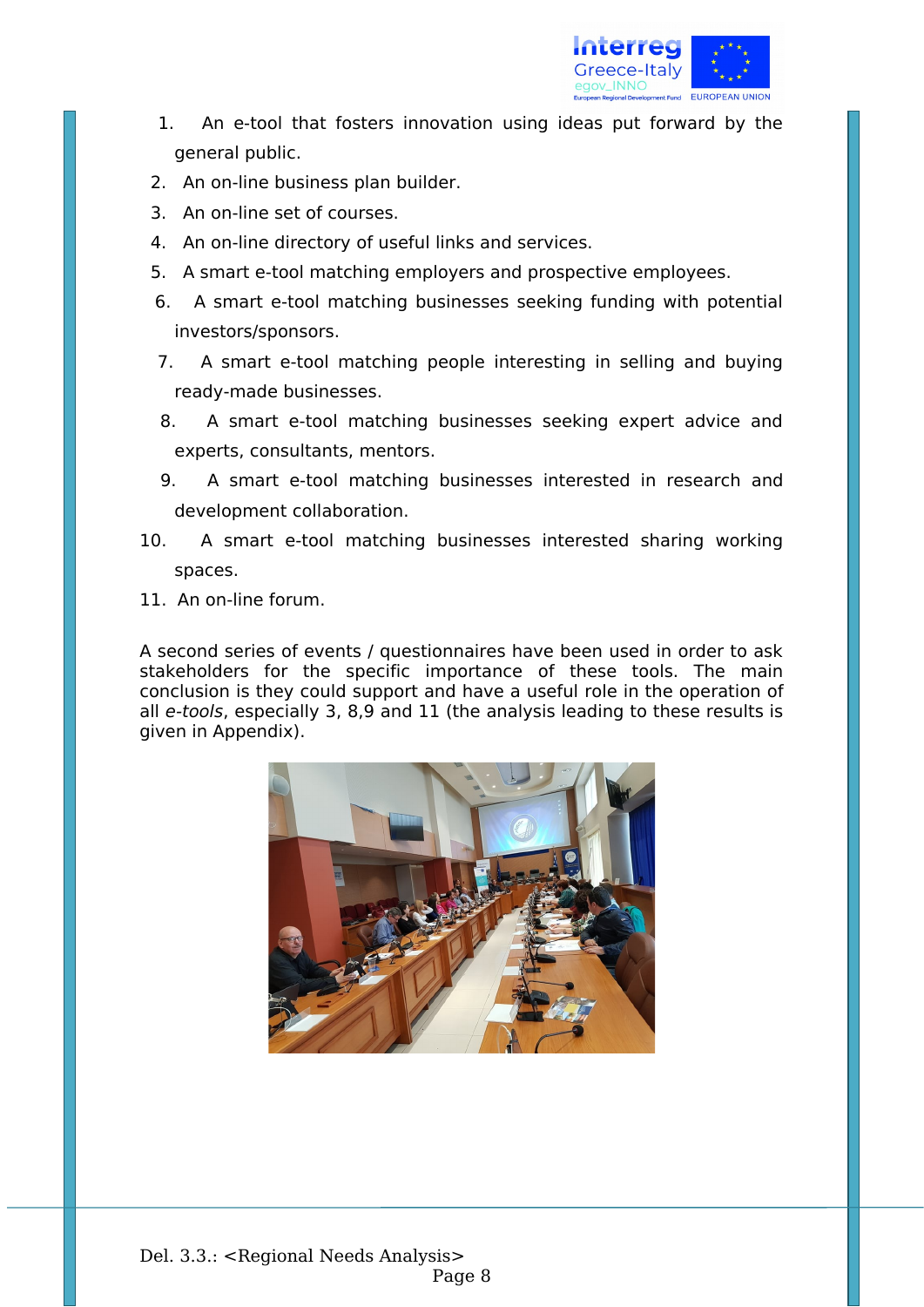

- 1. An e-tool that fosters innovation using ideas put forward by the general public.
- 2. An on-line business plan builder.
- 3. An on-line set of courses.
- 4. An on-line directory of useful links and services.
- 5. A smart e-tool matching employers and prospective employees.
- 6. A smart e-tool matching businesses seeking funding with potential investors/sponsors.
- 7. A smart e-tool matching people interesting in selling and buying ready-made businesses.
- 8. A smart e-tool matching businesses seeking expert advice and experts, consultants, mentors.
- 9. A smart e-tool matching businesses interested in research and development collaboration.
- 10. A smart e-tool matching businesses interested sharing working spaces.
- 11. An on-line forum.

A second series of events / questionnaires have been used in order to ask stakeholders for the specific importance of these tools. The main conclusion is they could support and have a useful role in the operation of all e-tools, especially 3, 8,9 and 11 (the analysis leading to these results is given in Appendix).

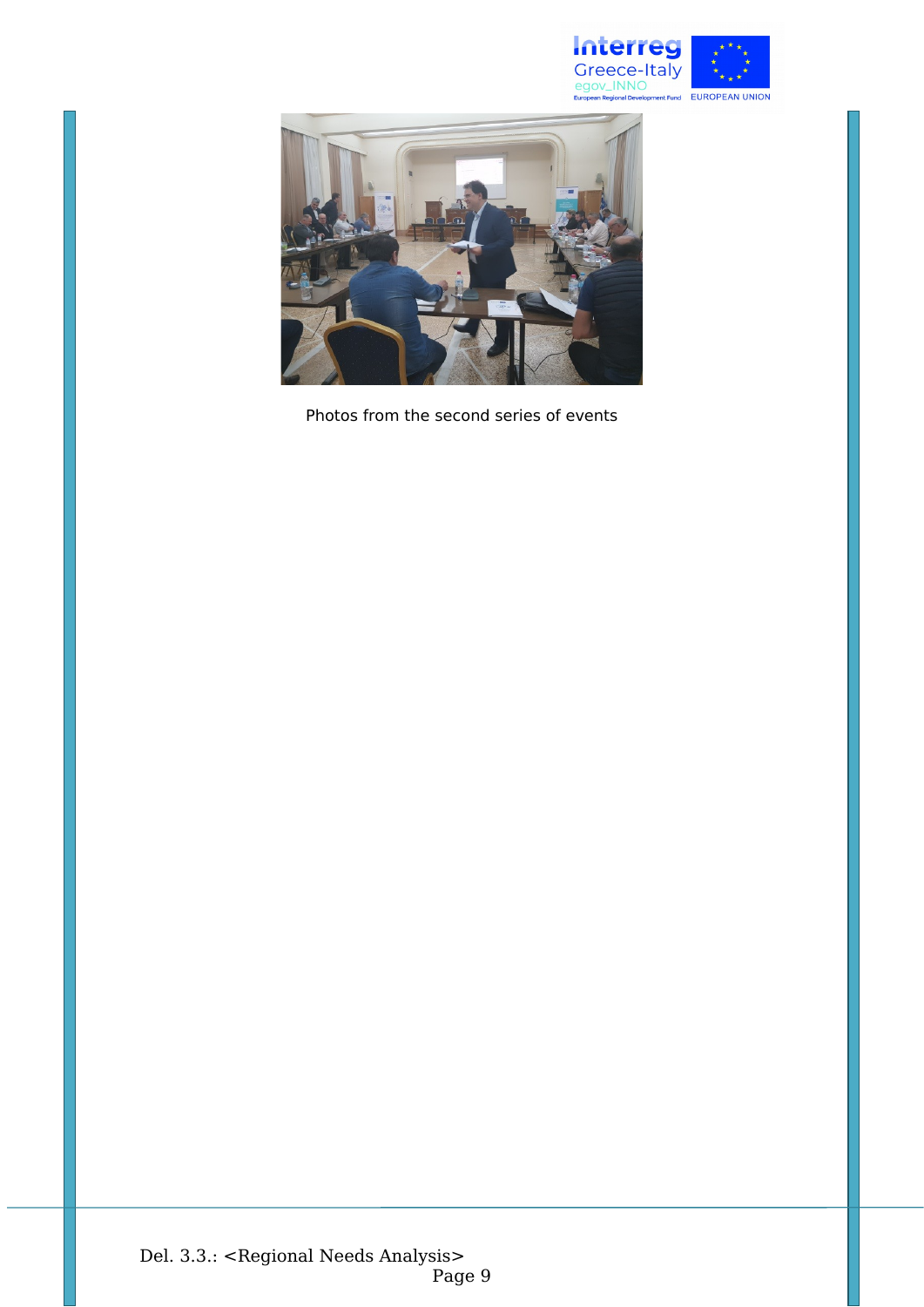



Photos from the second series of events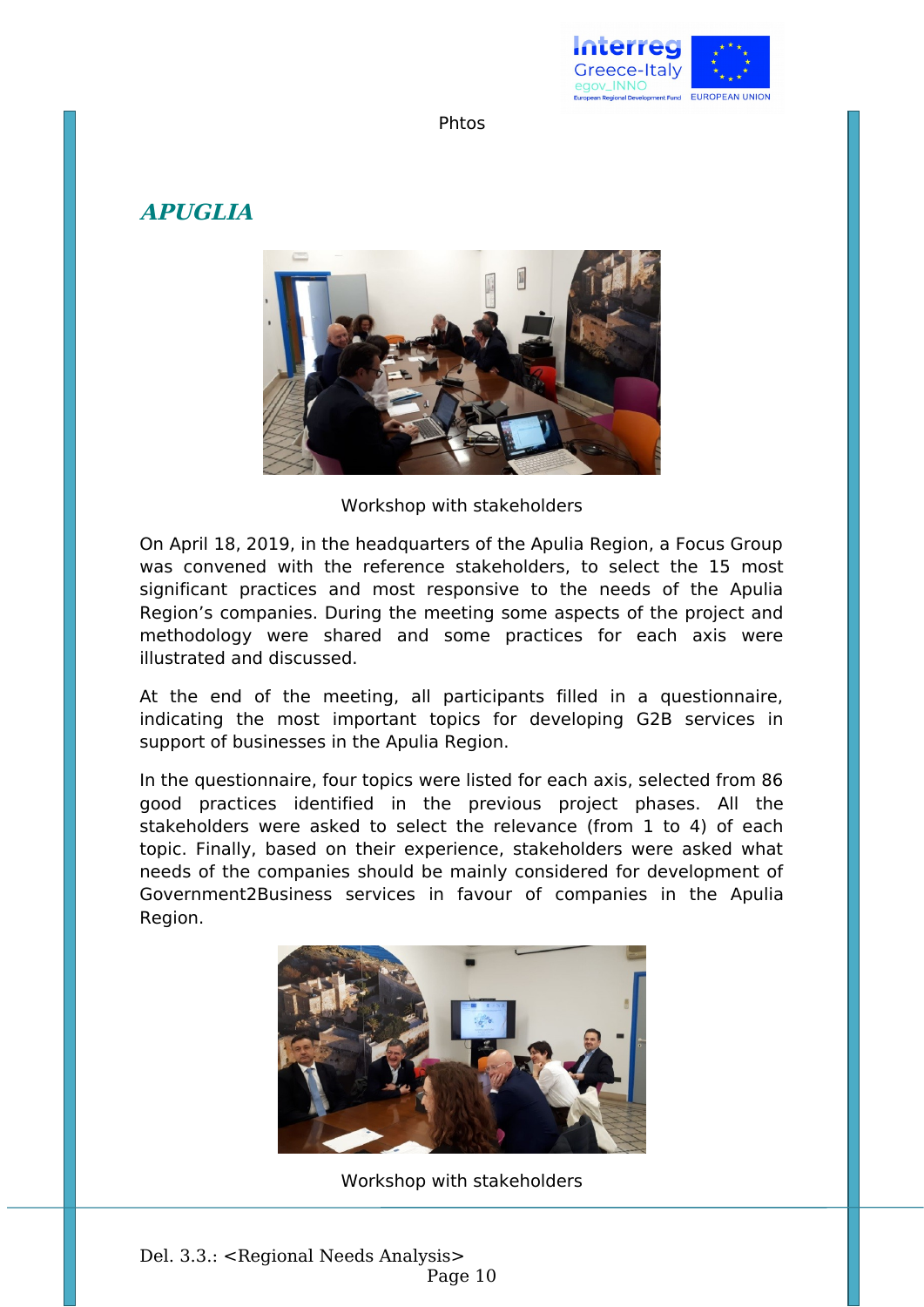

Phtos

# <span id="page-9-0"></span>**APUGLIA**



Workshop with stakeholders

On April 18, 2019, in the headquarters of the Apulia Region, a Focus Group was convened with the reference stakeholders, to select the 15 most significant practices and most responsive to the needs of the Apulia Region's companies. During the meeting some aspects of the project and methodology were shared and some practices for each axis were illustrated and discussed.

At the end of the meeting, all participants filled in a questionnaire, indicating the most important topics for developing G2B services in support of businesses in the Apulia Region.

In the questionnaire, four topics were listed for each axis, selected from 86 good practices identified in the previous project phases. All the stakeholders were asked to select the relevance (from 1 to 4) of each topic. Finally, based on their experience, stakeholders were asked what needs of the companies should be mainly considered for development of Government2Business services in favour of companies in the Apulia Region.



Workshop with stakeholders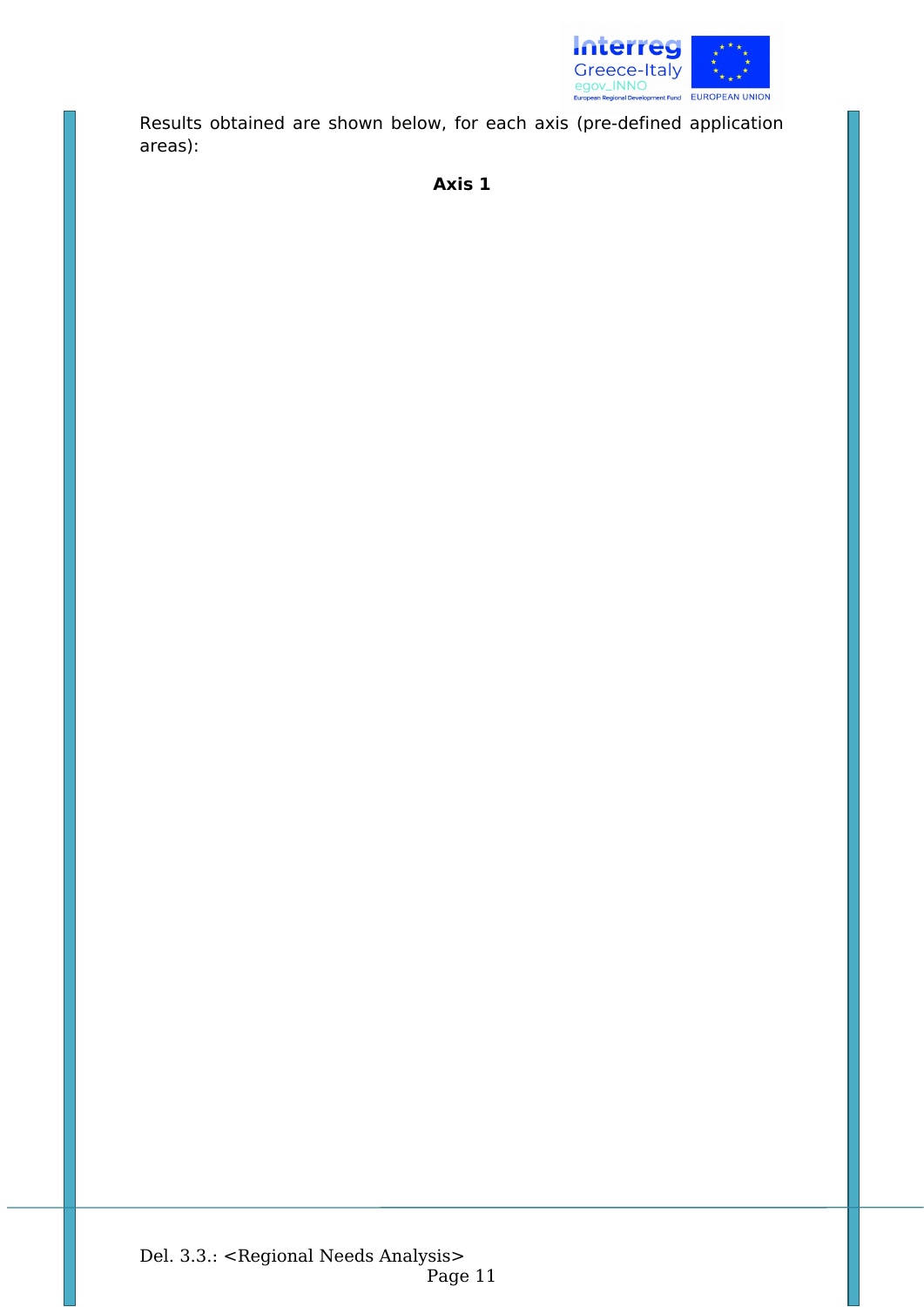

Results obtained are shown below, for each axis (pre-defined application areas):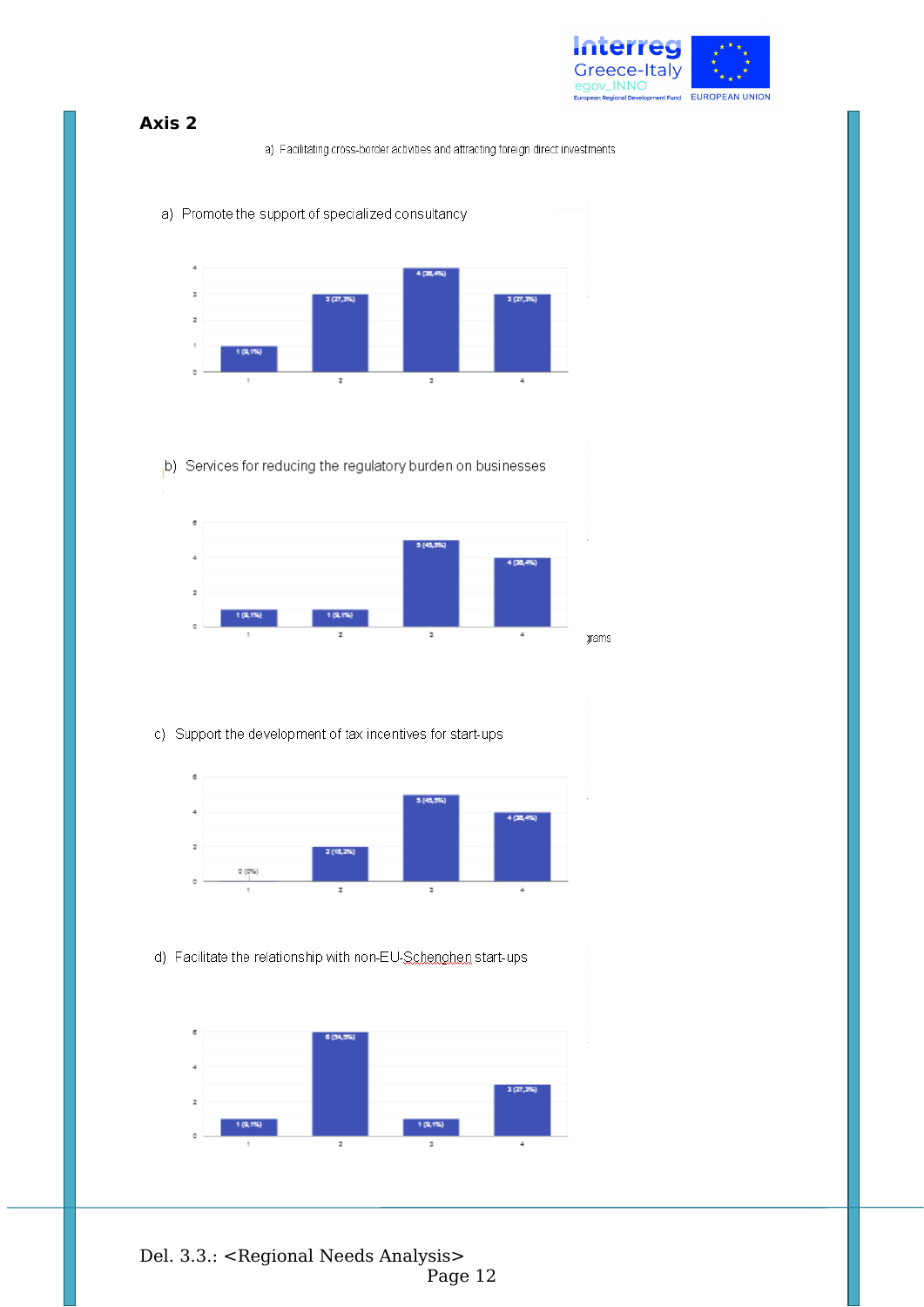

## **Axis 2**

a) Facilitating cross-border activities and attracting foreign direct investments

a) Promote the support of specialized consultancy



#### b) Services for reducing the regulatory burden on businesses



#### c) Support the development of tax incentives for start-ups



d) Facilitate the relationship with non-EU-Schenghen start-ups

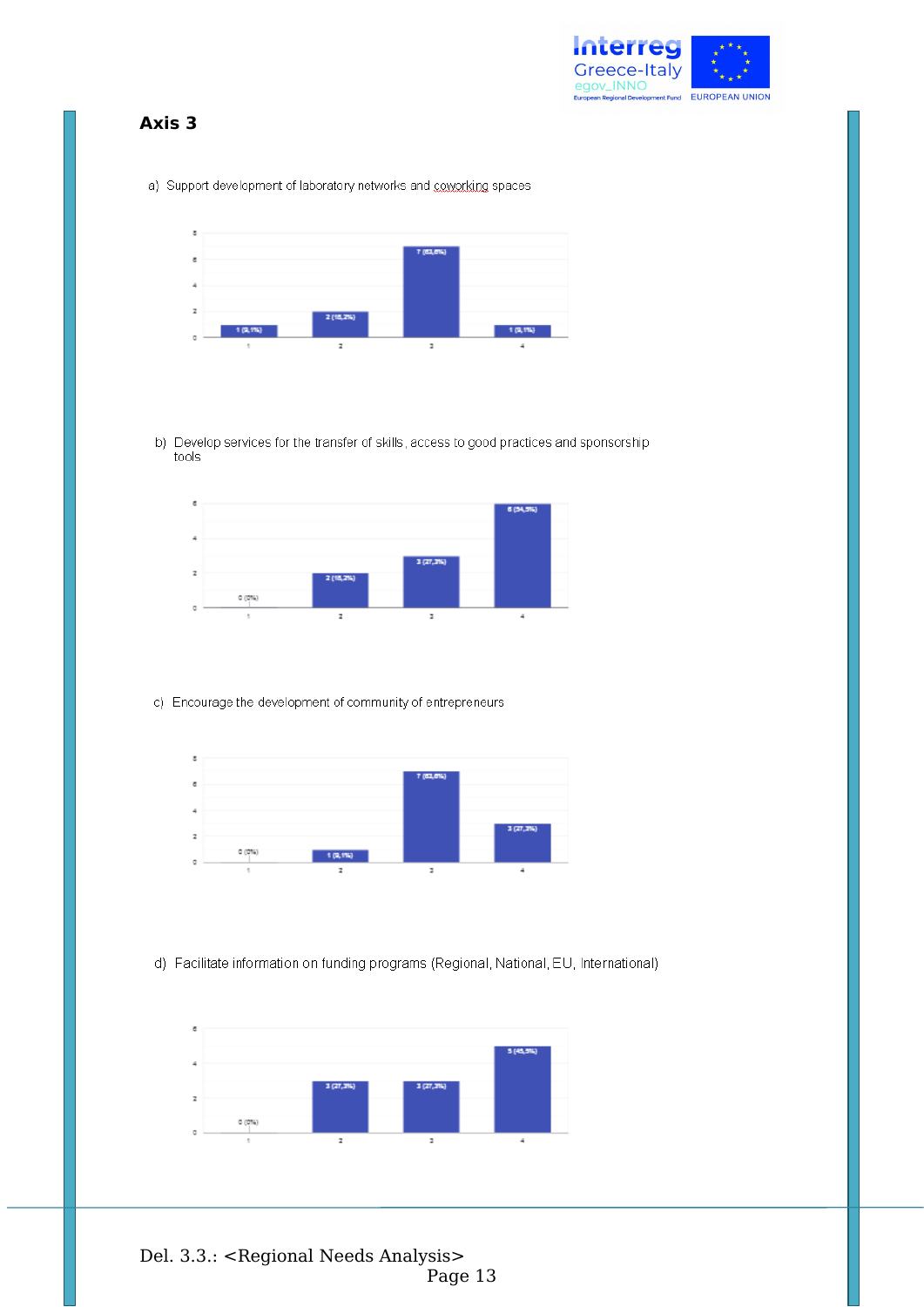

# **Axis 3**

a) Support development of laboratory networks and comorking spaces



b) Develop services for the transfer of skills, access to good practices and sponsorship tools



c) Encourage the development of community of entrepreneurs



d) Facilitate information on funding programs (Regional, National, EU, International)

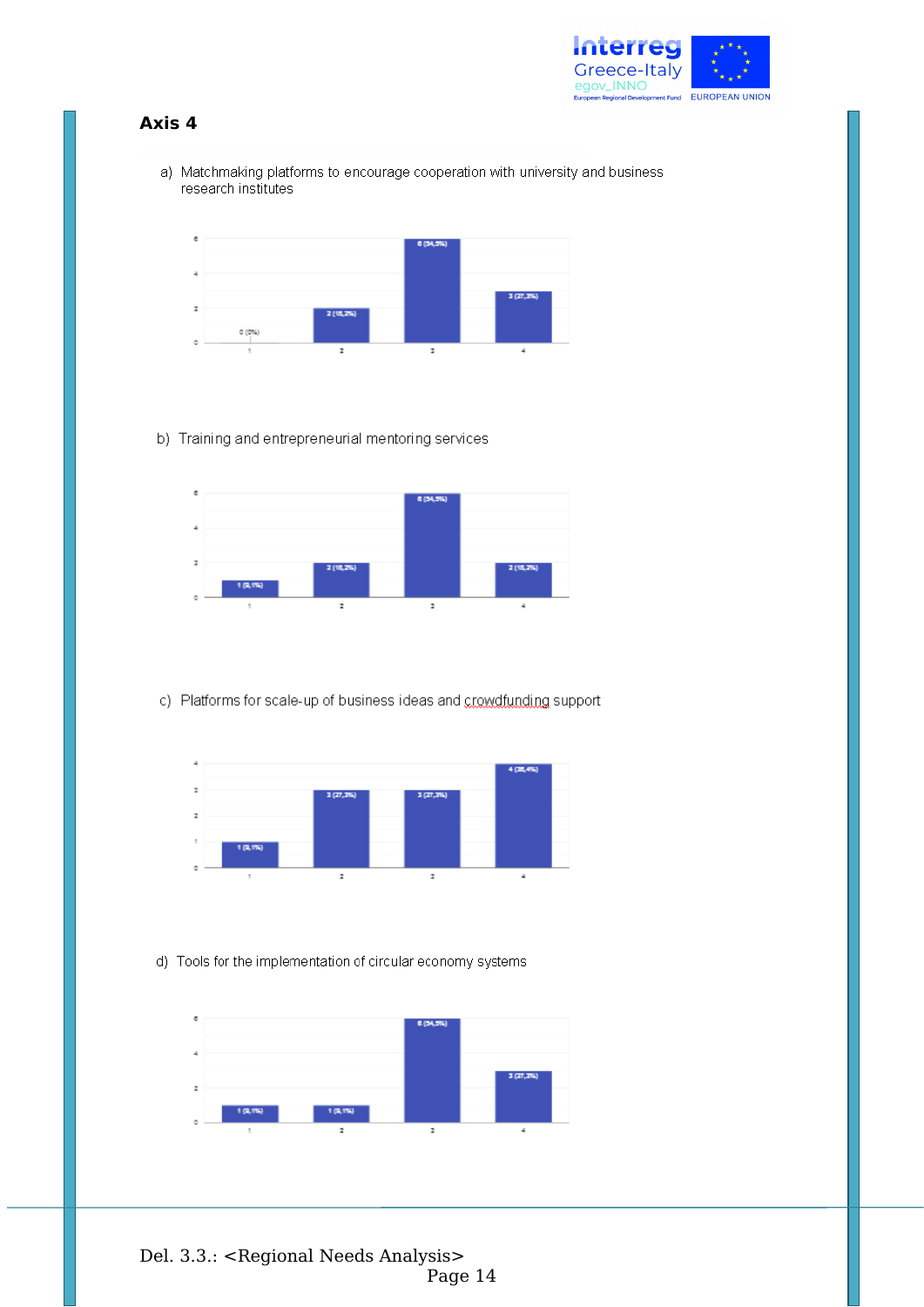

## **Axis 4**

a) Matchmaking platforms to encourage cooperation with university and business research institutes



b) Training and entrepreneurial mentoring services



c) Platforms for scale-up of business ideas and crowdfunding support



d) Tools for the implementation of circular economy systems

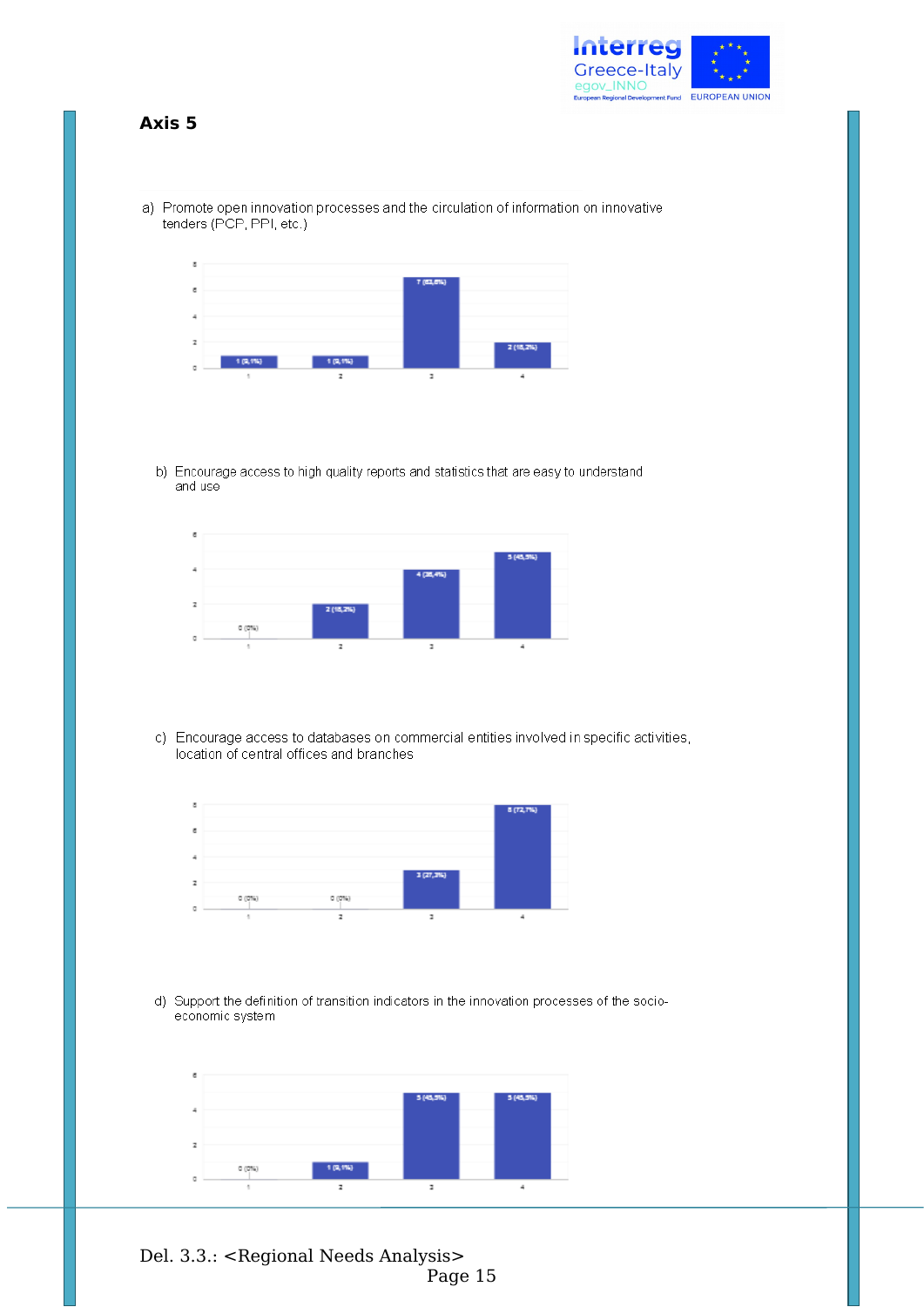

## Axis<sub>5</sub>

a) Promote open innovation processes and the circulation of information on innovative tenders (PCP, PPI, etc.)



b) Encourage access to high quality reports and statistics that are easy to understand and use



c) Encourage access to databases on commercial entities involved in specific activities, location of central offices and branches



d) Support the definition of transition indicators in the innovation processes of the socioeconomic system



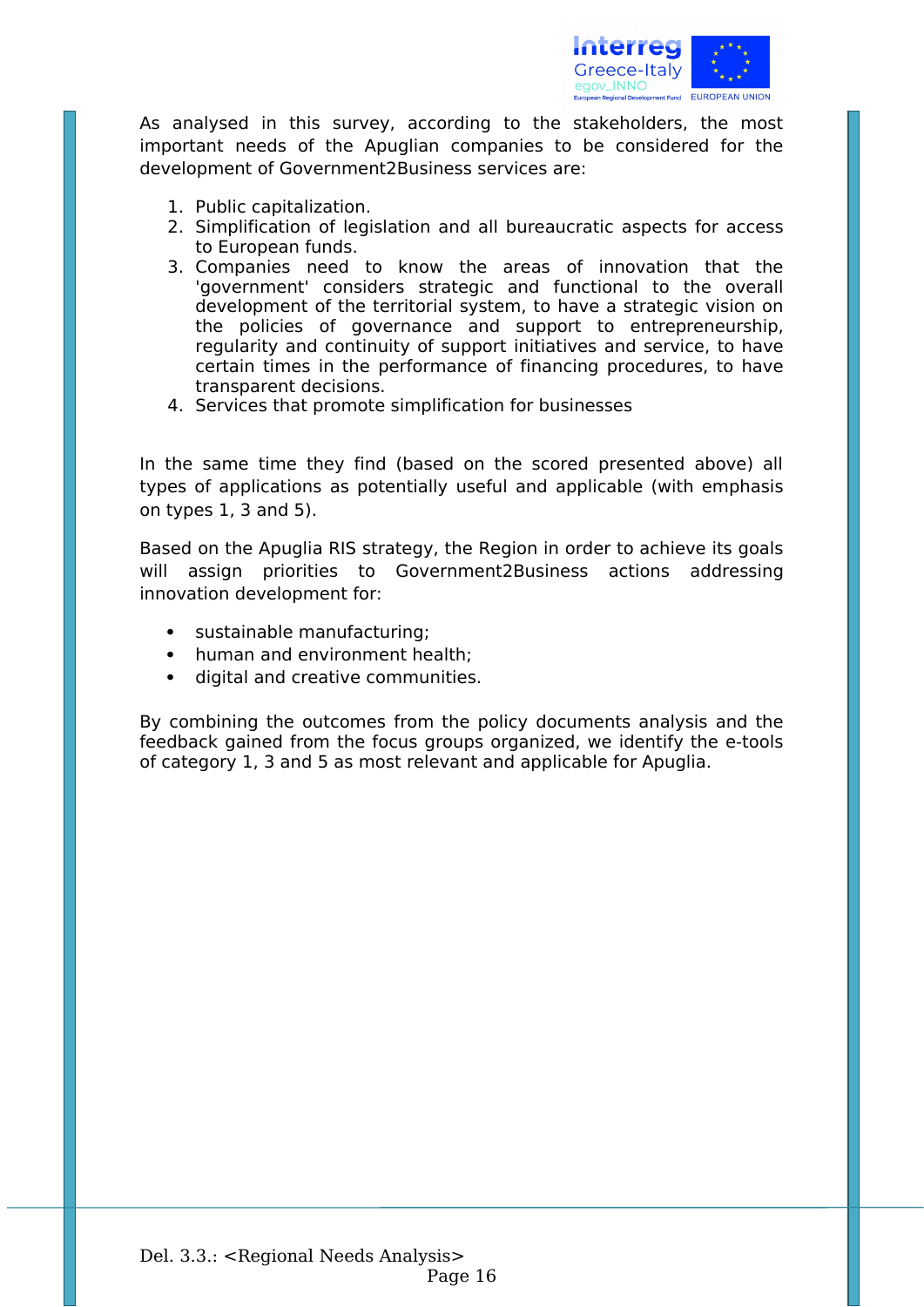

As analysed in this survey, according to the stakeholders, the most important needs of the Apuglian companies to be considered for the development of Government2Business services are:

- 1. Public capitalization.
- 2. Simplification of legislation and all bureaucratic aspects for access to European funds.
- 3. Companies need to know the areas of innovation that the 'government' considers strategic and functional to the overall development of the territorial system, to have a strategic vision on the policies of governance and support to entrepreneurship, regularity and continuity of support initiatives and service, to have certain times in the performance of financing procedures, to have transparent decisions.
- 4. Services that promote simplification for businesses

In the same time they find (based on the scored presented above) all types of applications as potentially useful and applicable (with emphasis on types 1, 3 and 5).

Based on the Apuglia RIS strategy, the Region in order to achieve its goals will assign priorities to Government2Business actions addressing innovation development for:

- sustainable manufacturing;
- human and environment health:
- digital and creative communities.

By combining the outcomes from the policy documents analysis and the feedback gained from the focus groups organized, we identify the e-tools of category 1, 3 and 5 as most relevant and applicable for Apuglia.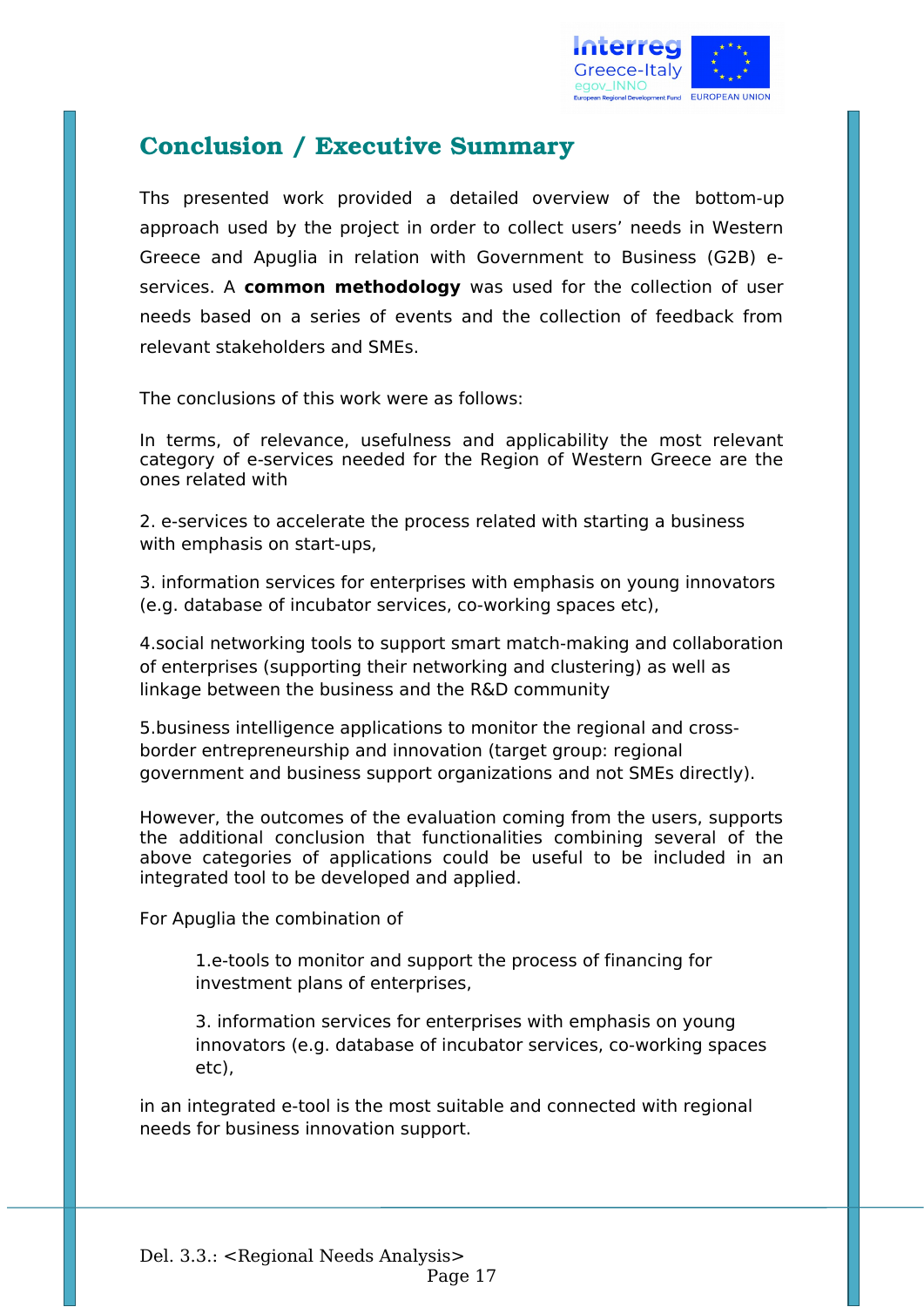

# <span id="page-16-0"></span>Conclusion / Executive Summary

Ths presented work provided a detailed overview of the bottom-up approach used by the project in order to collect users' needs in Western Greece and Apuglia in relation with Government to Business (G2B) eservices. A **common methodology** was used for the collection of user needs based on a series of events and the collection of feedback from relevant stakeholders and SMEs.

The conclusions of this work were as follows:

In terms, of relevance, usefulness and applicability the most relevant category of e-services needed for the Region of Western Greece are the ones related with

2. e-services to accelerate the process related with starting a business with emphasis on start-ups,

3. information services for enterprises with emphasis on young innovators (e.g. database of incubator services, co-working spaces etc),

4.social networking tools to support smart match-making and collaboration of enterprises (supporting their networking and clustering) as well as linkage between the business and the R&D community

5.business intelligence applications to monitor the regional and crossborder entrepreneurship and innovation (target group: regional government and business support organizations and not SMEs directly).

However, the outcomes of the evaluation coming from the users, supports the additional conclusion that functionalities combining several of the above categories of applications could be useful to be included in an integrated tool to be developed and applied.

For Apuglia the combination of

1.e-tools to monitor and support the process of financing for investment plans of enterprises,

3. information services for enterprises with emphasis on young innovators (e.g. database of incubator services, co-working spaces etc),

in an integrated e-tool is the most suitable and connected with regional needs for business innovation support.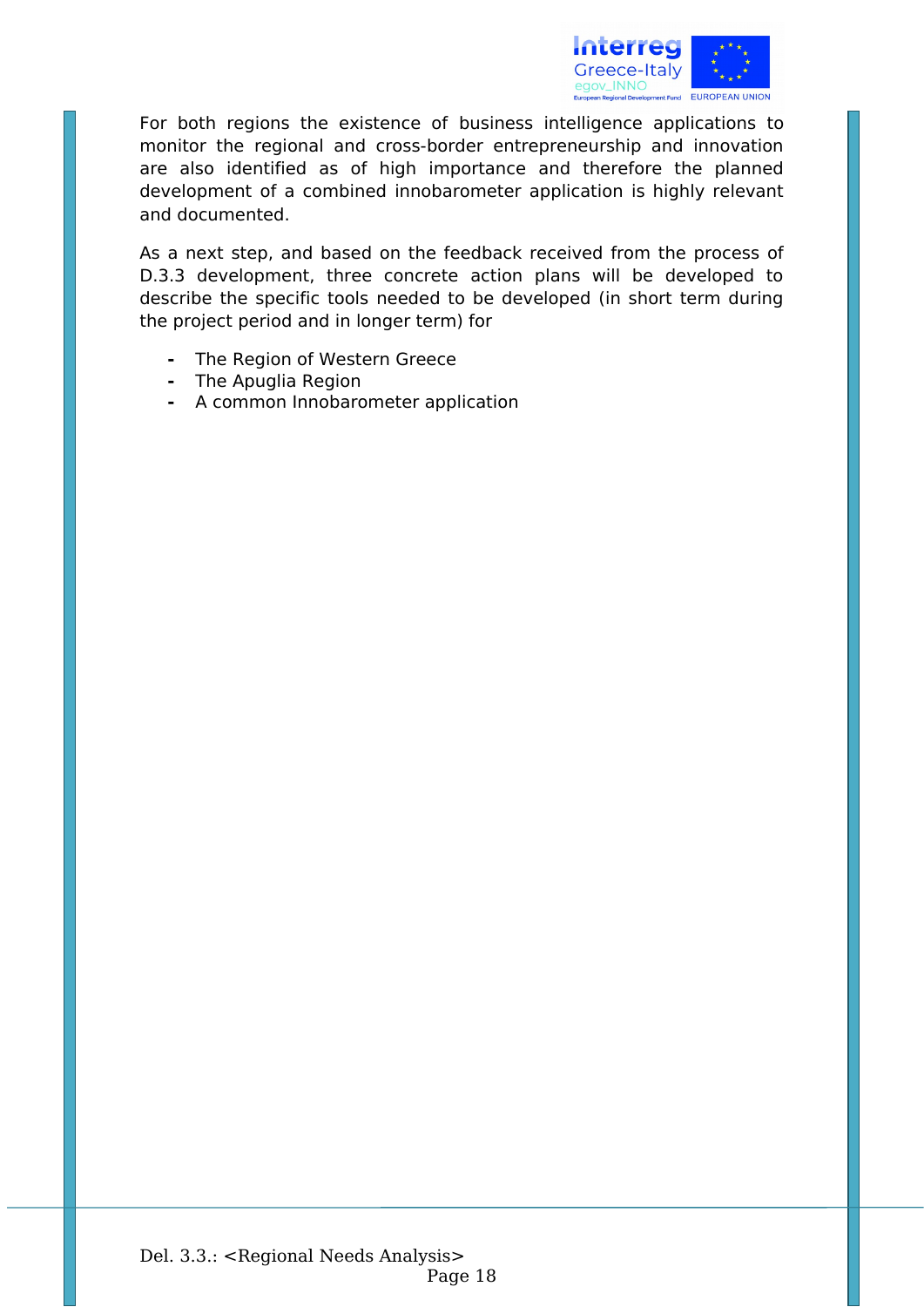

For both regions the existence of business intelligence applications to monitor the regional and cross-border entrepreneurship and innovation are also identified as of high importance and therefore the planned development of a combined innobarometer application is highly relevant and documented.

As a next step, and based on the feedback received from the process of D.3.3 development, three concrete action plans will be developed to describe the specific tools needed to be developed (in short term during the project period and in longer term) for

- **-** The Region of Western Greece
- **-** The Apuglia Region
- **-** A common Innobarometer application